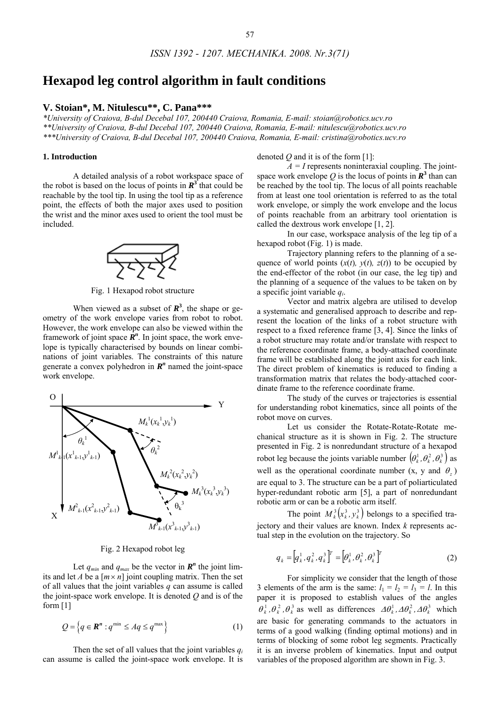# **Hexapod leg control algorithm in fault conditions**

# **V. Stoian\*, M. Nitulescu\*\*, C. Pana\*\*\***

*\*University of Craiova, B-dul Decebal 107, 200440 Craiova, Romania, E-mail: stoian@robotics.ucv.ro \*\*University of Craiova, B-dul Decebal 107, 200440 Craiova, Romania, E-mail: nitulescu@robotics.ucv.ro \*\*\*University of Craiova, B-dul Decebal 107, 200440 Craiova, Romania, E-mail: cristina@robotics.ucv.ro* 

## **1. Introduction**

 A detailed analysis of a robot workspace space of the robot is based on the locus of points in  $\mathbb{R}^3$  that could be reachable by the tool tip. In using the tool tip as a reference point, the effects of both the major axes used to position the wrist and the minor axes used to orient the tool must be included.



Fig. 1 Hexapod robot structure

When viewed as a subset of  $\mathbb{R}^3$ , the shape or geometry of the work envelope varies from robot to robot. However, the work envelope can also be viewed within the framework of joint space  $\mathbb{R}^n$ . In joint space, the work envelope is typically characterised by bounds on linear combinations of joint variables. The constraints of this nature generate a convex polyhedron in  $\mathbb{R}^n$  named the joint-space work envelope.



Fig. 2 Hexapod robot leg

Let  $q_{min}$  and  $q_{max}$  be the vector in  $\mathbb{R}^n$  the joint limits and let *A* be a  $[m \times n]$  joint coupling matrix. Then the set of all values that the joint variables *q* can assume is called the joint-space work envelope. It is denoted *Q* and is of the form [1]

$$
Q = \left\{ q \in \mathbf{R}^n : q^{\min} \le Aq \le q^{\max} \right\} \tag{1}
$$

Then the set of all values that the joint variables  $q_i$ can assume is called the joint-space work envelope. It is denoted *Q* and it is of the form [1]:

 $\overline{A}$  = *I* represents noninteraxial coupling. The jointspace work envelope Q is the locus of points in  $\mathbb{R}^3$  than can be reached by the tool tip. The locus of all points reachable from at least one tool orientation is referred to as the total work envelope, or simply the work envelope and the locus of points reachable from an arbitrary tool orientation is called the dextrous work envelope [1, 2].

In our case, workspace analysis of the leg tip of a hexapod robot (Fig. 1) is made.

Trajectory planning refers to the planning of a sequence of world points  $(x(t), y(t), z(t))$  to be occupied by the end-effector of the robot (in our case, the leg tip) and the planning of a sequence of the values to be taken on by a specific joint variable *qi*.

Vector and matrix algebra are utilised to develop a systematic and generalised approach to describe and represent the location of the links of a robot structure with respect to a fixed reference frame [3, 4]. Since the links of a robot structure may rotate and/or translate with respect to the reference coordinate frame, a body-attached coordinate frame will be established along the joint axis for each link. The direct problem of kinematics is reduced to finding a transformation matrix that relates the body-attached coordinate frame to the reference coordinate frame.

The study of the curves or trajectories is essential for understanding robot kinematics, since all points of the robot move on curves.

Let us consider the Rotate-Rotate-Rotate mechanical structure as it is shown in Fig. 2. The structure presented in Fig. 2 is nonredundant structure of a hexapod robot leg because the joints variable number  $(\theta_k^1, \theta_k^2, \theta_k^3)$  as well as the operational coordinate number  $(x, y, z)$  and  $\theta_z$ ) are equal to 3. The structure can be a part of poliarticulated hyper-redundant robotic arm [5], a part of nonredundant robotic arm or can be a robotic arm itself.

The point  $M_k^3(x_k^3, y_k^3)$  belongs to a specified trajectory and their values are known. Index *k* represents actual step in the evolution on the trajectory. So

$$
q_{k} = [q_{k}^{1}, q_{k}^{2}, q_{k}^{3}]^{T} = [q_{k}^{1}, \theta_{k}^{2}, \theta_{k}^{3}]^{T}
$$
 (2)

 $\theta_k^1$ ,  $\theta_k^2$ ,  $\theta_k^3$  as well as differences  $\Delta \theta_k^1$ ,  $\Delta \theta_k^2$ ,  $\Delta \theta_k^3$  which For simplicity we consider that the length of those 3 elements of the arm is the same:  $l_1 = l_2 = l_3 = l$ . In this paper it is proposed to establish values of the angles are basic for generating commands to the actuators in terms of a good walking (finding optimal motions) and in terms of blocking of some robot leg segments. Practically it is an inverse problem of kinematics. Input and output variables of the proposed algorithm are shown in Fig. 3.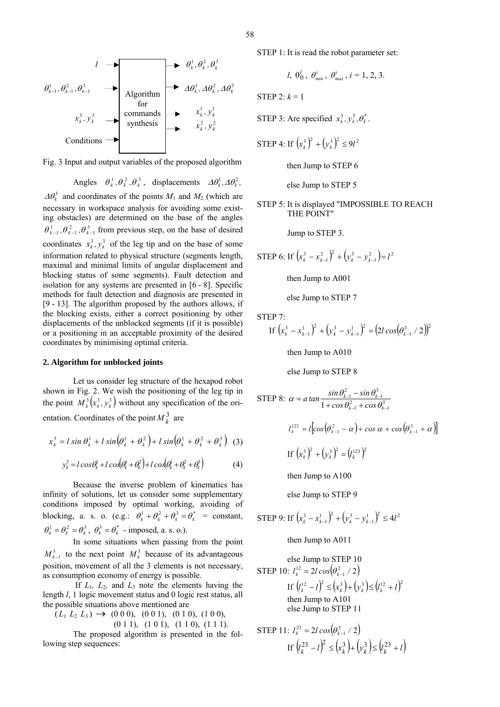



Angles  $\theta_k^1$ ,  $\theta_k^2$ ,  $\theta_k^3$ , displacements  $\Delta \theta_k^1$ ,  $\Delta \theta_k^2$ ,  $\Delta \theta_k^3$  and coordinates of the points  $M_1$  and  $M_2$  (which are necessary in workspace analysis for avoiding some existing obstacles) are determined on the base of the angles  $\theta_{k-1}^1$ ,  $\theta_{k-1}^2$ ,  $\theta_{k-1}^3$  from previous step, on the base of desired coordinates  $x_k^3$ ,  $y_k^3$  of the leg tip and on the base of some information related to physical structure (segments length, maximal and minimal limits of angular displacement and blocking status of some segments). Fault detection and isolation for any systems are presented in [6 - 8]. Specific methods for fault detection and diagnosis are presented in [9 - 13]. The algorithm proposed by the authors allows, if the blocking exists, either a correct positioning by other displacements of the unblocked segments (if it is possible) or a positioning in an acceptable proximity of the desired coordinates by minimising optimal criteria.

#### **2. Algorithm for unblocked joints**

 Let us consider leg structure of the hexapod robot shown in Fig. 2. We wish the positioning of the leg tip in the point  $M_k^3(x_k^3, y_k^3)$  without any specification of the orientation. Coordinates of the point  $M_k^3$  are

$$
x_k^3 = l \sin \theta_k^1 + l \sin \left(\theta_k^1 + \theta_k^2\right) + l \sin \left(\theta_k^1 + \theta_k^2 + \theta_k^3\right) \tag{3}
$$

$$
y_k^3 = l\cos\theta_k^1 + l\cos\left(\theta_k^1 + \theta_k^2\right) + l\cos\left(\theta_k^1 + \theta_k^2 + \theta_k^3\right) \tag{4}
$$

 Because the inverse problem of kinematics has infinity of solutions, let us consider some supplementary conditions imposed by optimal working, avoiding of blocking, a. s. o. (e.g.:  $\theta_k^1 + \theta_k^2 + \theta_k^3 = \theta_k^*$  = constant,  $\theta_k^1 = \theta_k^2 = \theta_k^3$ ,  $\theta_k^3 = \theta_k^*$  - imposed, a. s. o.).

In some situations when passing from the point  $M_{k-1}^3$  to the next point  $M_k^3$  because of its advantageous position, movement of all the 3 elements is not necessary, as consumption economy of energy is possible.

If  $L_1$ ,  $L_2$ , and  $L_3$  note the elements having the length *l*, 1 logic movement status and 0 logic rest status, all the possible situations above mentioned are

 $(L_1 L_2 L_3) \rightarrow (0\ 0\ 0), (0\ 0\ 1), (0\ 1\ 0), (1\ 0\ 0),$ (0 1 1), (1 0 1), (1 1 0), (1 1 1).

The proposed algorithm is presented in the following step sequences:

STEP 1: It is read the robot parameter set:

$$
l, \theta_0^i, \theta_{\min}^i, \theta_{\max}^i, i = 1, 2, 3.
$$

STEP 2:  $k = 1$ 

STEP 3: Are specified  $x_k^3$ ,  $y_k^3$ ,  $\theta_k^*$ .

$$
\text{STEP 4: If } (x_k^3)^2 + (y_k^3)^2 \le 9l^2
$$

then Jump to STEP 6

else Jump to STEP 5

STEP 5: It is displayed "IMPOSSIBLE TO REACH THE POINT"

Jump to STEP 3.

STEP 6: If  $\left(x_k^3 - x_{k-1}^2\right)^2 + \left(y_k^3 - y_{k-1}^2\right) = l^2$ 

then Jump to A001

else Jump to STEP 7

STEP 7:

If 
$$
(x_k^3 - x_{k-1}^1)^2 + (y_k^3 - y_{k-1}^1)^2 = (2l\cos(\theta_{k-1}^3 / 2))^2
$$

then Jump to A010

else Jump to STEP 8

STEP 8: 
$$
\alpha = \alpha \tan \frac{\sin \theta_{k-1}^2 - \sin \theta_{k-1}^3}{1 + \cos \theta_{k-1}^2 + \cos \theta_{k-1}^3}
$$

\n
$$
l_k^{123} = l \left[ \cos \left( \theta_{k-1}^2 - \alpha \right) + \cos \alpha + \cos \left( \theta_{k-1}^3 + \alpha \right) \right]
$$

\nIf 
$$
\left( x_k^3 \right)^2 + \left( y_k^3 \right)^2 = \left( l_k^{123} \right)^2
$$

\nthen Jump to A100

else Jump to STEP 9

$$
\text{STEP 9: If } \left(x_k^3 - x_{k-1}^1\right)^2 + \left(y_k^3 - y_{k-1}^1\right)^2 \le 4l^2
$$

then Jump to A011

else Jump to STEP 10  
\nSTEP 10: 
$$
l_k^{12} = 2l \cos(\theta_{k-1}^2 / 2)
$$
  
\nIf  $(l_k^{12} - l)^2 \le (x_k^3) + (y_k^3) \le (l_k^{12} + l)^2$   
\nthen Jump to A101  
\nelse Jump to STEP 11

$$
\begin{aligned} \text{STEP 11: } l_k^{23} &= 2l \cos \left( \theta_{k-1}^3 / 2 \right) \\ \text{If } \left( l_k^{23} - l \right)^2 &\leq \left( x_k^3 \right) + \left( y_k^3 \right) \leq \left( l_k^{23} + l \right) \end{aligned}
$$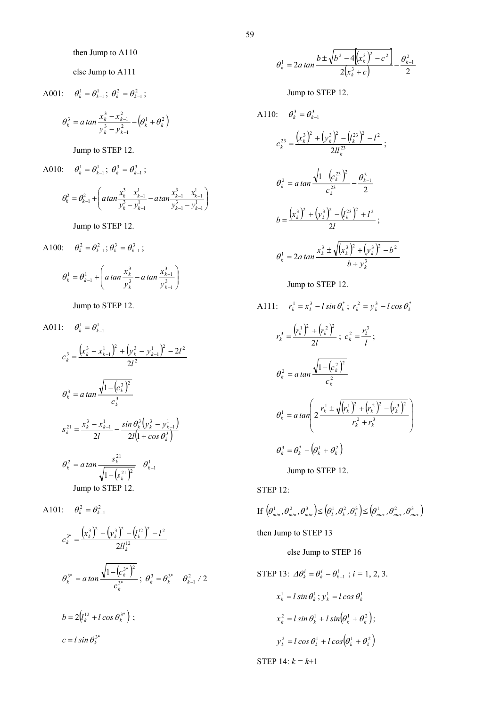then Jump to A110

else Jump to A111

A001: 
$$
\theta_k^1 = \theta_{k-1}^1
$$
;  $\theta_k^2 = \theta_{k-1}^2$ ;  

$$
\theta_k^3 = a \tan \frac{x_k^3 - x_{k-1}^2}{y_k^3 - y_{k-1}^2} - (\theta_k^1 + \theta_k^2)
$$

Jump to STEP 12.

A010: 
$$
\theta_k^1 = \theta_{k-1}^1
$$
;  $\theta_k^3 = \theta_{k-1}^3$ ;  

$$
\theta_k^2 = \theta_{k-1}^2 + \left( \alpha \tan \frac{x_k^3 - x_{k-1}^1}{y_k^3 - y_{k-1}^1} - \alpha \tan \frac{x_{k-1}^3 - x_{k-1}^1}{y_{k-1}^3 - y_{k-1}^1} \right)
$$

Jump to STEP 12.

A100: 
$$
\theta_k^2 = \theta_{k-1}^2
$$
;  $\theta_k^3 = \theta_{k-1}^3$ ;

$$
\theta_k^1 = \theta_{k-1}^1 + \left( a \tan \frac{x_k^3}{y_k^3} - a \tan \frac{x_{k-1}^3}{y_{k-1}^3} \right)
$$

Jump to STEP 12.

A011: 
$$
\theta_k^1 = \theta_{k-1}^1
$$
  
\n
$$
c_k^3 = \frac{(x_k^3 - x_{k-1}^1)^2 + (y_k^3 - y_{k-1}^1)^2 - 2l^2}{2l^2}
$$
\n
$$
\theta_k^3 = a \tan \frac{\sqrt{1 - (c_k^3)^2}}{c_k^3}
$$
\n
$$
s_k^{21} = \frac{x_k^3 - x_{k-1}^1}{2l} - \frac{\sin \theta_k^3 (y_k^3 - y_{k-1}^1)}{2l(1 + \cos \theta_k^3)}
$$
\n
$$
\theta_k^2 = a \tan \frac{s_k^{21}}{\sqrt{1 - (s_k^{21})^2}} - \theta_{k-1}^1
$$
\nJump to STEP 12.

A101: 
$$
\theta_k^2 = \theta_{k-1}^2
$$
  
\n
$$
c_k^{3*} = \frac{(x_k^3)^2 + (y_k^3)^2 - (l_k^{12})^2 - l^2}{2ll_k^{12}}
$$
\n
$$
\theta_k^{3*} = a \tan \frac{\sqrt{1 - (c_k^{3*})^2}}{c_k^{3*}}; \ \theta_k^3 = \theta_k^{3*} - \theta_{k-1}^2 / 2
$$
\n
$$
b = 2(l_k^{12} + l \cos \theta_k^{3*}) ;
$$
\n
$$
c = l \sin \theta_k^{3*}
$$

$$
\theta_k^1 = 2a \tan \frac{b \pm \sqrt{b^2 - 4\left[\left(x_k^3\right)^2 - c^2\right]}}{2\left(x_k^3 + c\right)} - \frac{\theta_{k-1}^2}{2}
$$

Jump to STEP 12.

A110: 
$$
\theta_k^3 = \theta_{k-1}^3
$$
  
\n
$$
c_k^{23} = \frac{(x_k^3)^2 + (y_k^3)^2 - (l_k^{23})^2 - l^2}{2ll_k^{23}}
$$
\n
$$
\theta_k^2 = a \tan \frac{\sqrt{1 - (c_k^{23})^2}}{c_k^{23}} - \frac{\theta_{k-1}^3}{2}
$$
\n
$$
b = \frac{(x_k^3)^2 + (y_k^3)^2 - (l_k^{23})^2 + l^2}{2l}
$$
\n
$$
\theta_k^1 = 2a \tan \frac{x_k^3 \pm \sqrt{(x_k^3)^2 + (y_k^3)^2 - b^2}}{b + y_k^3}
$$

Jump to STEP 12.

A111: 
$$
r_k^1 = x_k^3 - l \sin \theta_k^* ; r_k^2 = y_k^3 - l \cos \theta_k^*
$$
  
\n $r_k^3 = \frac{(r_k^1)^2 + (r_k^2)^2}{2l} ; c_k^2 = \frac{r_k^3}{l} ;$   
\n $\theta_k^2 = a \tan \frac{\sqrt{1 - (c_k^2)^2}}{c_k^2}$   
\n $\theta_k^1 = a \tan \left( 2 \frac{r_k^1 \pm \sqrt{(r_k^1)^2 + (r_k^2)^2 - (r_k^3)^2}}{r_k^2 + r_k^3} \right)$   
\n $\theta_k^3 = \theta_k^* - (\theta_k^1 + \theta_k^2)$   
\nJump to STEP 12.

STEP 12:

If 
$$
(\theta_{min}^1, \theta_{min}^2, \theta_{min}^3) \leq (\theta_k^1, \theta_k^2, \theta_k^3) \leq (\theta_{max}^1, \theta_{max}^2, \theta_{max}^3)
$$

then Jump to STEP 13

# else Jump to STEP 16

$$
\text{STEP 13: } \Delta \theta_k^i = \theta_k^i - \theta_{k-1}^i \; ; \; i = 1, 2, 3.
$$
\n
$$
x_k^1 = l \sin \theta_k^1; \; y_k^1 = l \cos \theta_k^1
$$
\n
$$
x_k^2 = l \sin \theta_k^1 + l \sin(\theta_k^1 + \theta_k^2);
$$
\n
$$
y_k^2 = l \cos \theta_k^1 + l \cos(\theta_k^1 + \theta_k^2)
$$

STEP 14: *k = k*+1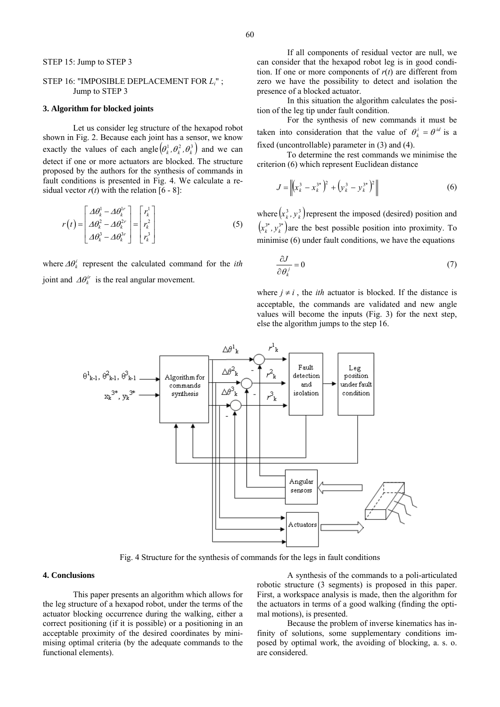# STEP 16: "IMPOSIBLE DEPLACEMENT FOR *Li*" ; Jump to STEP 3

## **3. Algorithm for blocked joints**

 Let us consider leg structure of the hexapod robot shown in Fig. 2. Because each joint has a sensor, we know exactly the values of each angle  $(\theta_k^1, \theta_k^2, \theta_k^3)$  and we can detect if one or more actuators are blocked. The structure proposed by the authors for the synthesis of commands in fault conditions is presented in Fig. 4. We calculate a residual vector  $r(t)$  with the relation [6 - 8]:

$$
r(t) = \begin{bmatrix} \Delta \theta_k^1 - \Delta \theta_k^{1r} \\ \Delta \theta_k^2 - \Delta \theta_k^{2r} \\ \Delta \theta_k^3 - \Delta \theta_k^{3r} \end{bmatrix} = \begin{bmatrix} r_k^1 \\ r_k^2 \\ r_k^3 \end{bmatrix}
$$
 (5)

where  $\Delta \theta_k^i$  represent the calculated command for the *ith* joint and  $\Delta \theta_k^{ir}$  is the real angular movement.

In this situation the algorithm calculates the position of the leg tip under fault condition.

For the synthesis of new commands it must be taken into consideration that the value of  $\theta_k^i = \theta^{id}$  is a fixed (uncontrollable) parameter in (3) and (4).

To determine the rest commands we minimise the criterion (6) which represent Euclidean distance

$$
J = \left\| \left( x_k^3 - x_k^{3^*} \right)^2 + \left( y_k^3 - y_k^{3^*} \right)^2 \right\|
$$
 (6)

where  $(x_k^3, y_k^3)$  represent the imposed (desired) position and  $(x_k^{3*}, y_k^{3*})$  are the best possible position into proximity. To minimise (6) under fault conditions, we have the equations

$$
\frac{\partial J}{\partial \theta_k^j} = 0 \tag{7}
$$

where  $j \neq i$ , the *ith* actuator is blocked. If the distance is acceptable, the commands are validated and new angle values will become the inputs (Fig. 3) for the next step, else the algorithm jumps to the step 16.



Fig. 4 Structure for the synthesis of commands for the legs in fault conditions

# **4. Conclusions**

 This paper presents an algorithm which allows for the leg structure of a hexapod robot, under the terms of the actuator blocking occurrence during the walking, either a correct positioning (if it is possible) or a positioning in an acceptable proximity of the desired coordinates by minimising optimal criteria (by the adequate commands to the functional elements).

 A synthesis of the commands to a poli-articulated robotic structure (3 segments) is proposed in this paper. First, a workspace analysis is made, then the algorithm for the actuators in terms of a good walking (finding the optimal motions), is presented.

Because the problem of inverse kinematics has infinity of solutions, some supplementary conditions imposed by optimal work, the avoiding of blocking, a. s. o. are considered.